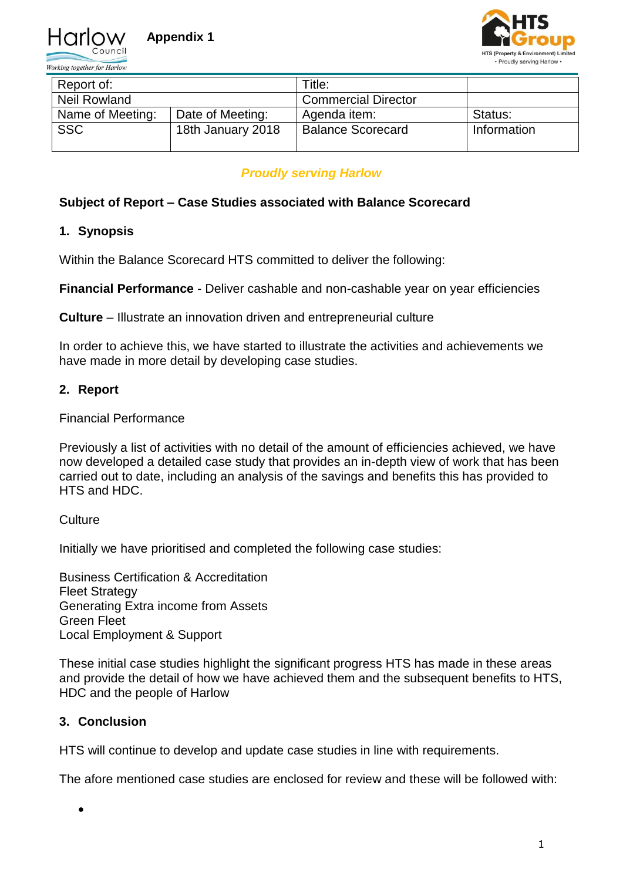

Working together for Harlow



| Report of:          |                   | Title:                     |             |
|---------------------|-------------------|----------------------------|-------------|
| <b>Neil Rowland</b> |                   | <b>Commercial Director</b> |             |
| Name of Meeting:    | Date of Meeting:  | Agenda item:               | Status:     |
| <b>SSC</b>          | 18th January 2018 | <b>Balance Scorecard</b>   | Information |

## *Proudly serving Harlow*

#### **Subject of Report – Case Studies associated with Balance Scorecard**

## **1. Synopsis**

Within the Balance Scorecard HTS committed to deliver the following:

**Financial Performance** - Deliver cashable and non-cashable year on year efficiencies

**Culture** – Illustrate an innovation driven and entrepreneurial culture

In order to achieve this, we have started to illustrate the activities and achievements we have made in more detail by developing case studies.

#### **2. Report**

Financial Performance

Previously a list of activities with no detail of the amount of efficiencies achieved, we have now developed a detailed case study that provides an in-depth view of work that has been carried out to date, including an analysis of the savings and benefits this has provided to HTS and HDC.

**Culture** 

Initially we have prioritised and completed the following case studies:

Business Certification & Accreditation Fleet Strategy Generating Extra income from Assets Green Fleet Local Employment & Support

These initial case studies highlight the significant progress HTS has made in these areas and provide the detail of how we have achieved them and the subsequent benefits to HTS, HDC and the people of Harlow

# **3. Conclusion**

 $\bullet$ 

HTS will continue to develop and update case studies in line with requirements.

The afore mentioned case studies are enclosed for review and these will be followed with: